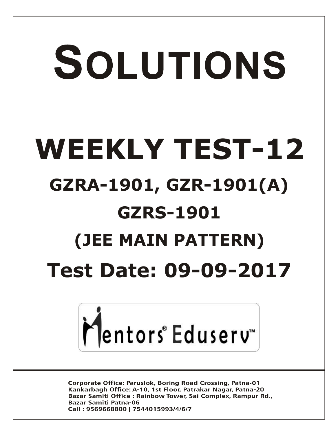# SOLUTIONS **WEEKLY TEST-12 GZRA-1901, GZR-1901(A) GZRS-1901 (JEE MAIN PATTERN) Test Date: 09-09-2017**



**Corporate Office: Paruslok, Boring Road Crossing, Patna-01** Kankarbagh Office: A-10, 1st Floor, Patrakar Nagar, Patna-20 Bazar Samiti Office: Rainbow Tower, Sai Complex, Rampur Rd., **Bazar Samiti Patna-06** Call: 9569668800 | 7544015993/4/6/7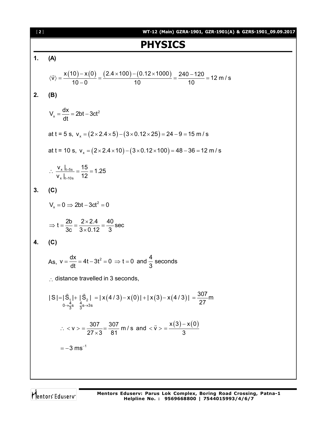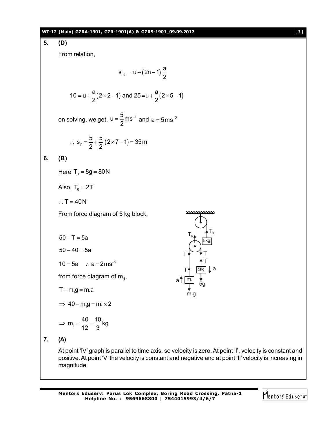#### **WT-12 (Main) GZRA-1901, GZR-1901(A) & GZRS-1901\_09.09.2017** [ **3** ]



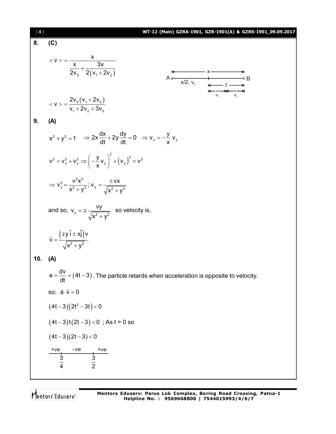| $[4]$ | WT-12 (Main) GZRA-1901, GZR-1901(A) & GZRS-1901_09.09.2017                                                                                                                                                                                   |
|-------|----------------------------------------------------------------------------------------------------------------------------------------------------------------------------------------------------------------------------------------------|
| 8.    | (C)                                                                                                                                                                                                                                          |
|       | $< v > \frac{x}{\frac{x}{2v_{0}} + \frac{3x}{2(v_{0} + 2v_{0})}}$<br>A<br>$x/2, v_0$<br>$x \xrightarrow{\text{m}} B$<br>$x \xrightarrow{\text{m}} C_1$<br>$x \xrightarrow{\text{m}} C_2$<br>$x \xrightarrow{\text{m}} C_1$<br>$y_1$<br>$y_2$ |
|       | $< v > \frac{2v_0 (v_1 + 2v_0)}{v_1 + 2v_2 + 3v_3}$                                                                                                                                                                                          |
| 9.    | (A)                                                                                                                                                                                                                                          |
|       | $x^2 + y^2 = 1$ $\Rightarrow 2x \frac{dx}{dt} + 2y \frac{dy}{dt} = 0$ $\Rightarrow v_x = -\frac{y}{x} v_y$                                                                                                                                   |
|       | $V^2 = V_x^2 + V_y^2 \Rightarrow \left(-\frac{y}{x}V_y\right)^2 + \left(V_y\right)^2 = V^2$                                                                                                                                                  |
|       | $\Rightarrow v_y^2 = \frac{v^2x^2}{x^2 + y^2}$ ; $v_y = \frac{\pm vx}{\sqrt{x^2 + y^2}}$                                                                                                                                                     |
|       | and so, $v_x = \pm \frac{vy}{\sqrt{x^2 + y^2}}$ so velocity is,                                                                                                                                                                              |
|       | $\vec{v} = \frac{(\mp y \hat{i} \pm x \hat{j})v}{\sqrt{x^2 + y^2}}$                                                                                                                                                                          |
| 10.   | (A)                                                                                                                                                                                                                                          |
|       | $a = \frac{dv}{dt} = (4t-3)$ . The particle retards when acceleration is opposite to velocity.                                                                                                                                               |
|       | so; $\vec{a} \cdot \vec{v} = 0$                                                                                                                                                                                                              |
|       | $(4t-3)(2t^2-3t) < 0$                                                                                                                                                                                                                        |
|       | $(4t-3)t(2t-3) < 0$ ; As $t > 0$ so                                                                                                                                                                                                          |
|       | $(4t-3)(2t-3) < 0$                                                                                                                                                                                                                           |
|       | $-ve$<br>+ve<br>$+ve$                                                                                                                                                                                                                        |
|       | $rac{1}{4}$<br>$\frac{1}{2}$                                                                                                                                                                                                                 |
|       |                                                                                                                                                                                                                                              |

Mentors<sup>e</sup> Eduserv<sup>-</sup>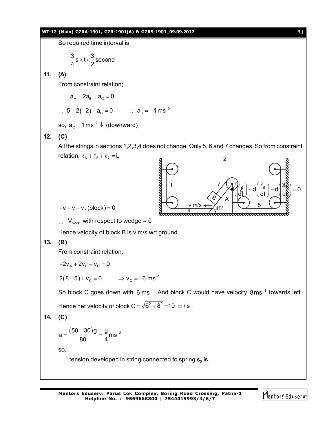#### **WT-12 (Main) GZRA-1901, GZR-1901(A) & GZRS-1901\_09.09.2017** [ **5** ]

So required time interval is

$$
\frac{3}{4} \, \text{s} \, \text{<} \, \text{-}\, \frac{3}{2} \, \text{second}
$$

## **11. (A)**

From constraint relation;

$$
a_{\text{A}} + 2a_{\text{B}} + a_{\text{C}} = 0
$$

 $\therefore$  5+2(-2)+a<sub>c</sub> = 0  $\therefore$  a<sub>c</sub> = -1 ms<sup>-2</sup>

so, 
$$
a_c = 1 \text{ ms}^{-2} \downarrow
$$
 (downward)

## **12. (C)**

All the strings in sections 1,2,3,4 does not change. Only 5, 6 and 7 changes. So from constraint relation;  $\ell_6 + \ell_5 + \ell_7 = L$ 2

v m/s

6

A

5

 $\frac{d}{d}$   $\frac{d}{d}$   $\frac{d}{d}$  + d  $\frac{d}{d}$  + d  $\frac{d}{d}$  = 0 dt dt dt dt  $(\mathcal{U}^{\ell_{6}})$ , d $(\ell_{5})$ , d $(\mathcal{B}_{\mathbb{R}})$  $\left(\frac{d}{dt}\right) + d\left(\frac{d}{dt}\right) + d\left(\frac{d}{dt}\right) = 0$  $\ell_{6}$ ,  $\sqrt{\ell_{5}}$ ,  $\sqrt{3}$ 

1  $7/\sqrt{1/k_6}$   $(\ell_5)$   $\sqrt{3}$ 

4

 $45^\circ$ 

ଚ

7



 $\therefore$  V<sub>block</sub> with respect to wedge = 0

Hence velocity of block B is v m/s wrt ground.

## **13. (B)**

From constraint relation;

$$
-2v_{\text{A}}+2v_{\text{B}}+v_{\text{C}}=0
$$

 $2(8-5)+v_c = 0$   $\implies$   $v_c = -6$  ms<sup>-1</sup>

So block C goes down with 6 ms<sup>-1</sup>. And block C would have velocity  $8 \text{ms}^{-1}$  towards left. Hence net velocity of block  $C = \sqrt{6^2 + 8^2} = 10 \text{ m/s}$ .

**14. (C)**

$$
a = \frac{(50-30)g}{80} = \frac{g}{4} m s^{-2}
$$

so,

tension developed in string connected to spring  $\mathbf{s}_2$  is,

**Mentors Eduserv: Parus Lok Complex, Boring Road Crossing, Patna-1 Helpline No. : 9569668800 | 7544015993/4/6/7**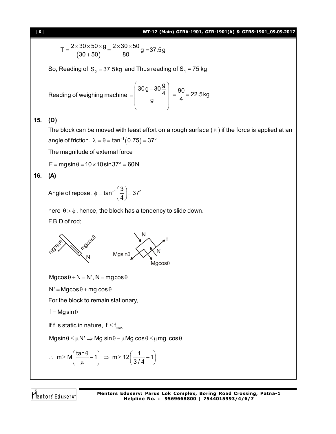

$$
T = \frac{2 \times 30 \times 50 \times g}{(30 + 50)} = \frac{2 \times 30 \times 50}{80}g = 37.5g
$$

So, Reading of  $\mathsf{S}_2$  = 37.5kg and Thus reading of  $\mathsf{S}_1$  = 75 kg

Reading of weighing machine  $30g - 30\frac{g}{4}$ 4 g  $\left(30\text{g}-30\frac{\text{g}}{4}\right)$  $=$   $\frac{4}{a}$   $\frac{4}{a}$  $\begin{pmatrix} 9 \\ -11 \end{pmatrix}$  $\frac{90}{1}$  = 22.5kg 4  $=\frac{56}{1}$  = 2

## **15. (D)**

The block can be moved with least effort on a rough surface  $(\mu)$  if the force is applied at an angle of friction.  $\lambda = \theta = \tan^{-1}(0.75) = 37^{\circ}$ 

The magnitude of external force

 $F = mag \sin \theta = 10 \times 10 \sin 37^\circ = 60N$ 

## **16. (A)**

Angle of repose,  $\phi = \tan^{-1} \left( \frac{3}{4} \right) = 37^{\circ}$  $\phi = \tan^{-1} \left( \frac{3}{4} \right) = 3$ 

here  $\theta > \phi$ , hence, the block has a tendency to slide down.

F.B.D of rod;



 $Mg\cos\theta + N = N', N = mg\cos\theta$ 

 $N' = Mg\cos\theta + mg\cos\theta$ 

For the block to remain stationary,

 $f = Mg \sin \theta$ 

If f is static in nature,  $f \leq f_{\text{max}}$ 

 $Mgsin \theta \leq \mu N' \Rightarrow Mg sin \theta - \mu Mg cos \theta \leq \mu mg cos \theta$ 

$$
\therefore m \ge M \left( \frac{\tan \theta}{\mu} - 1 \right) \Rightarrow m \ge 12 \left( \frac{1}{3/4} - 1 \right)
$$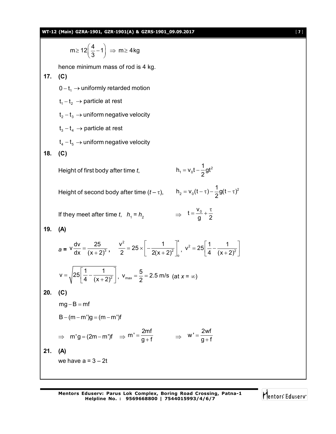

$$
m \ge 12\left(\frac{4}{3} - 1\right) \Rightarrow m \ge 4 \, kg
$$

hence minimum mass of rod is 4 kg.

**17. (C)**

 $0 - t_1 \rightarrow$  uniformly retarded motion

 $t_1 - t_2 \rightarrow$  particle at rest

 $t_2 - t_3 \rightarrow$  uniform negative velocity

 $t_3 - t_4 \rightarrow$  particle at rest

$$
t_4 - t_5 \rightarrow \text{uniform negative velocity}
$$

**18. (C)**

Height of first body after time *t*,  $h_1 = v_0 t - \frac{1}{2}gt^2$ 

Height of second body after time  $(t - \tau)$ ,  $h_2 = v_0(t - \tau) - \frac{1}{2}g(t - \tau)^2$ 

$$
h_2 = v_0(t - \tau) - \frac{1}{2}g(t - \tau)^2
$$

2

 $h_1 = v_0 t - \frac{1}{2}gt$ 

 $= v_0 t -$ 

If they meet after time *t*, 
$$
h_1 = h_2
$$
  $\Rightarrow$   $t = \frac{v_0}{g} + \frac{\tau}{2}$ 

**19. (A)**

$$
a = v \frac{dv}{dx} = \frac{25}{(x+2)^3}, \quad \frac{v^2}{2} = 25 \times \left[ -\frac{1}{2(x+2)^2} \right]_0^x, \quad v^2 = 25 \left[ \frac{1}{4} - \frac{1}{(x+2)^2} \right]
$$

$$
v = \sqrt{25 \left[ \frac{1}{4} - \frac{1}{(x+2)^2} \right]}, \quad v_{\text{max}} = \frac{5}{2} = 2.5 \text{ m/s (at } x = \infty)
$$

$$
20. (C)
$$

$$
mg-B=mf
$$

$$
B-(m-m^{\prime})g=(m-m^{\prime})f
$$

4  $(x+2)$ 

$$
\Rightarrow m'g = (2m - m')f \Rightarrow m' = \frac{2mf}{g + f} \Rightarrow w' = \frac{2wf}{g + f}
$$

**21. (A)**

we have  $a = 3 - 2t$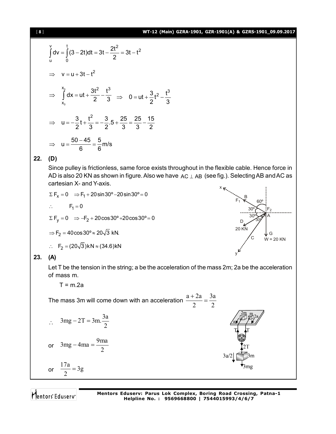#### [ **8** ] **WT-12 (Main) GZRA-1901, GZR-1901(A) & GZRS-1901\_09.09.2017**

$$
\int_{u}^{v} dv = \int_{0}^{t} (3 - 2t) dt = 3t - \frac{2t^{2}}{2} = 3t - t^{2}
$$
\n
$$
\Rightarrow v = u + 3t - t^{2}
$$
\n
$$
\Rightarrow \int_{x_{0}}^{x_{0}} dx = ut + \frac{3t^{2}}{2} - \frac{t^{3}}{3} \Rightarrow 0 = ut + \frac{3}{2}t^{2} - \frac{t^{3}}{3}
$$
\n
$$
\Rightarrow u = -\frac{3}{2}t + \frac{t^{2}}{3} = -\frac{3}{2} \cdot 5 + \frac{25}{3} = \frac{25}{3} - \frac{15}{2}
$$
\n
$$
\Rightarrow u = \frac{50 - 45}{6} = \frac{5}{6} \text{ m/s}
$$

## **22. (D)**

Since pulley is frictionless, same force exists throughout in the flexible cable. Hence force in AD is also 20 KN as shown in figure. Also we have  $AC \perp AB$  (see fig.). Selecting AB and AC as cartesian X- and Y-axis. x

$$
\Sigma F_x = 0 \Rightarrow F_1 + 20 \sin 30^\circ - 20 \sin 30^\circ = 0
$$
  
\n
$$
\therefore F_1 = 0
$$
  
\n
$$
\Sigma F_y = 0 \Rightarrow -F_2 + 20 \cos 30^\circ + 20 \cos 30^\circ = 0
$$
  
\n
$$
\Rightarrow F_2 = 40 \cos 30^\circ \approx 20\sqrt{3} \text{ kN}.
$$

$$
\therefore F_2 = (20\sqrt{3})kN \approx (34.6)kN
$$



#### **23. (A)**

Let T be the tension in the string; a be the acceleration of the mass 2m; 2a be the acceleration of mass m.

 $T = m.2a$ 

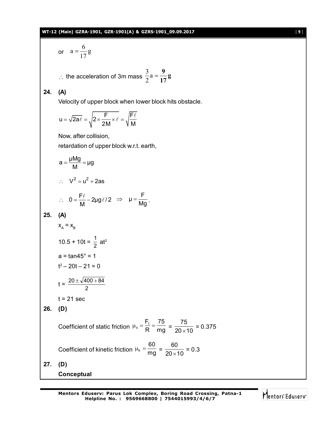or 
$$
a = \frac{6}{17}g
$$
  
\n $\therefore$  the acceleration of 3m mass  $\frac{3}{2}a = \frac{9}{17}g$   
\n24. (A)  
\nVelocity of upper block when lower block hits obstacle.  
\n $u = \sqrt{2a\ell} = \sqrt{2 \times \frac{F}{2M} \times \ell} = \sqrt{\frac{F\ell}{M}}$   
\nNow, after collision,  
\nretardation of upper block w.r.t. earth,  
\n $a = \frac{\mu Mg}{M} = \mu g$   
\n $\therefore V^2 = u^2 + 2as$   
\n $\therefore 0 = \frac{F\ell}{M} - 2\mu g\ell/2 \implies \mu = \frac{F}{Mg}$ .  
\n25. (A)  
\n $x_A = x_B$   
\n $10.5 + 10t = \frac{1}{2} at^2$   
\n $a = \tan 45^\circ = 1$   
\n $t^2 - 20t - 21 = 0$   
\n $t = \frac{20 \pm \sqrt{400 + 84}}{2}$   
\n $t = 21 \text{ sec}$   
\n26. (D)  
\nCoefficient of static friction  $\mu_s = \frac{F_1}{R} = \frac{75}{mg} = \frac{75}{20 \times 10} = 0.375$   
\nCoefficient of kinetic friction  $\mu_k = \frac{60}{mg} = \frac{60}{20 \times 10} = 0.3$   
\n27. (D)  
\nConceptual

Mentors<sup>e</sup> Eduserv<sup>-</sup>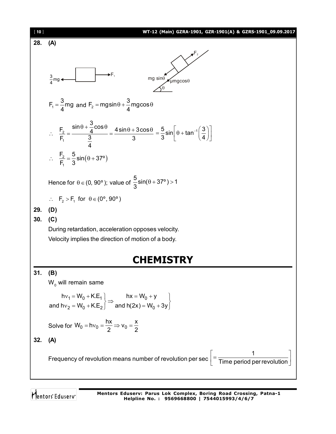

Mentors<sup>®</sup> Eduserv<sup>®</sup>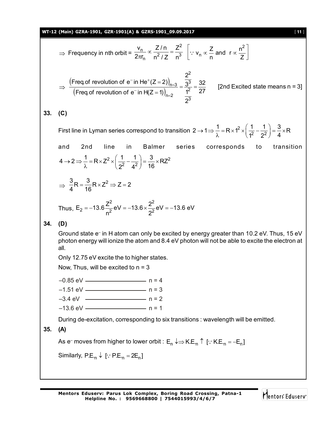#### **WT-12 (Main) GZRA-1901, GZR-1901(A) & GZRS-1901\_09.09.2017** [ **11** ]

$$
\Rightarrow \text{ Frequency in nth orbit} = \frac{v_n}{2\pi r_n} \propto \frac{Z/n}{n^2/Z} = \frac{Z^2}{n^3} \left[ \because v_n \propto \frac{Z}{n} \text{ and } r \propto \frac{n^2}{Z} \right]
$$

$$
\Rightarrow \frac{\left(\text{Freq of revolution of } e^- \text{ in He}^+(Z=2)\right)_{n=3}}{\left(\text{Freq of revolution of } e^- \text{ in H}(Z=1)\right)_{n=2}} = \frac{\frac{2^2}{3^3}}{\frac{1^2}{2^3}} = \frac{32}{27}
$$
 [2nd Excited state means n = 3]

**33. (C)**

First line in Lyman series correspond to transition  $2 \to 1 \Rightarrow \frac{1}{\lambda} = R \times 1^2 \times \left(\frac{1}{1^2} - \frac{1}{2^2}\right) = \frac{3}{4} \times R$  $\rightarrow$  1  $\Rightarrow \frac{1}{\lambda}$  = R  $\times$  1<sup>2</sup>  $\times$   $\left(\frac{1}{1^2} - \frac{1}{2^2}\right)$  =  $\frac{3}{4}$   $\times$  F and 2nd line in Balmer series corresponds to transition  $2\sqrt{1}$   $1\sqrt{2}$   $2\sqrt{2}$  $4 \rightarrow 2 \Rightarrow \frac{1}{\lambda} = R \times Z^2 \times \left(\frac{1}{2^2} - \frac{1}{4^2}\right) = \frac{3}{16} \times RZ$  $\rightarrow$  2  $\Rightarrow \frac{1}{\lambda}$  = R  $\times$  Z<sup>2</sup>  $\times$   $\left(\frac{1}{2^2} - \frac{1}{4^2}\right)$  =  $\frac{3}{16}$   $\times$  F

$$
\Rightarrow \frac{3}{4}R = \frac{3}{16}R \times Z^2 \Rightarrow Z = 2
$$

Thus, E<sub>2</sub> = -13.6 
$$
\frac{Z^2}{n^2}
$$
 eV = -13.6  $\times \frac{2^2}{2^2}$  eV = -13.6 eV

**34. (D)**

Ground state e– in H atom can only be excited by energy greater than 10.2 eV. Thus, 15 eV photon energy will ionize the atom and 8.4 eV photon will not be able to excite the electron at all.

Only 12.75 eV excite the to higher states.

Now, Thus, will be excited to  $n = 3$ 

–0.85 eV ——————————— n = 4 -1.51 eV ———————————— n = 3 -3.4 eV ————————————— n = 2 –13.6 eV —————————— n = 1

During de-excitation, corresponding to six transitions : wavelength will be emitted.

# **35. (A)**

As e<sup>–</sup> moves from higher to lower orbit :  $\mathsf{E}_\mathsf{n} \downarrow \Rightarrow$  K.E. $_\mathsf{n} \uparrow$  [ $\cdot$ : K.E. $_\mathsf{n}$  = –E $_\mathsf{n}$ ]

Similarly,  $P.E_{n} \downarrow [\cdot; P.E_{n} = 2E_{n}]$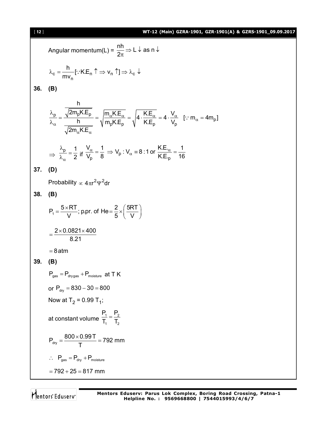#### [ **12** ] **WT-12 (Main) GZRA-1901, GZR-1901(A) & GZRS-1901\_09.09.2017**

p

 $\ddot{\cdot}$ 

Angular momentum(L) =  $\frac{nh}{2} \Rightarrow L \downarrow$  as n 2 ⇒ L ↓ as n ↓  $\pi$  $c = \frac{m}{m}$  [  $\cdot$  N.L<sub>n</sub>  $\cdot \rightarrow$   $\cdot$ <sub>n</sub>  $\cdot$  ]  $\rightarrow$   $\cdot$ <sub>c</sub> n h [ K.E v ] mv  $\lambda_c = \frac{1!}{\cdots} [\because K.E_n \uparrow \Rightarrow v_n \uparrow] \Rightarrow \lambda_c \downarrow$ **36. (B)** p √<sup>∠m</sup>p∿.∟p րՒ.⊏ր I N.⊏ր vր h  $\frac{2m_pKE_p}{h} = \sqrt{\frac{m_\alpha KE_\alpha}{m_pKE_p}} = \sqrt{4 \cdot \frac{KE_\alpha}{KE_p}} = 4 \cdot \frac{V_\alpha}{V_p}$  [:  $m_\alpha = 4m_p$ ]  $2m_{\alpha}$ K.E  $\frac{\alpha^{K.L}\alpha}{K E} = \sqrt{4 \cdot \frac{K.L}{K E}} = 4 \cdot \frac{V_{\alpha}}{V}$  [: m<sub>a</sub>  $\alpha$  $\alpha$ n.  $-\alpha$ λ  $=\frac{v-v}{b}=\frac{v\alpha v-\alpha}{c}=\frac{1}{c}$   $4\cdot\frac{v-\alpha}{c}=4\cdot\frac{v\alpha}{c}$  [:  $m_{\alpha}=4$  $\lambda$  $\Rightarrow$ <sup>p</sup> 1  $\alpha$  2  $\lambda$  $=$  $\frac{p}{\lambda_{\alpha}} = \frac{1}{2}$  if  $\frac{p}{\lambda_{p}} = \frac{p}{8} \Rightarrow v_{p} \cdot v_{\alpha} = 0.1$  or  $\frac{p}{K.E_{p}}$  $\frac{V_{\alpha}}{V_{\alpha}} = \frac{1}{2} \Rightarrow V_{\alpha}$ : V<sub> $\alpha$ </sub> = 8:1 or  $\frac{KE_{\alpha}}{V_{\alpha}F} = \frac{1}{12}$  $\frac{V_{\alpha}}{V_{D}} = \frac{1}{8} \Rightarrow V_{p}$ :  $V_{\alpha} = 8$ :1 or  $\frac{V_{\alpha}L_{\alpha}}{K_{\alpha}E_{p}} = \frac{1}{16}$ **37. (D)** Probability  $\propto 4 \pi r^2 \Psi^2 dr$ **38. (B)**  $P_1 = \frac{5 \times RT}{V}$ ; p.pr. of He= $\frac{2}{5} \times \left(\frac{5RT}{V}\right)$ V  $\sqrt{ }$  5  $\sqrt{ }$  V  $=\frac{5\times RT}{V}$ ; p.pr. of He $=\frac{2}{5}\times\left(\frac{5RT}{V}\right)^{3}$  $2\times$ 0.0821 $\times$ 400 8.21  $=\frac{2\times0.0821\times4}{2.04}$  $= 8$ atm **39. (B)**  $P_{\text{gas}} = P_{\text{divgas}} + P_{\text{moisture}}$  at T K or  $P_{\text{dry}} = 830 - 30 = 800$ Now at T<sub>2</sub> = 0.99 T<sub>1</sub>; at constant volume  $\frac{11}{T_1} = \frac{2}{T_2}$  $P_1$   $P_2$  $\mathsf{T}_1$   $\mathsf{T}_2$  $=$  $P_{\text{dry}} = \frac{800 \times 0.99 \text{ T}}{\text{T}} = 792 \text{ mm}$ T  $=\frac{800\times0.997}{7}$  $\therefore$  P<sub>gas</sub> = P<sub>dry</sub> + P<sub>moisture</sub>  $= 792 + 25 = 817$  mm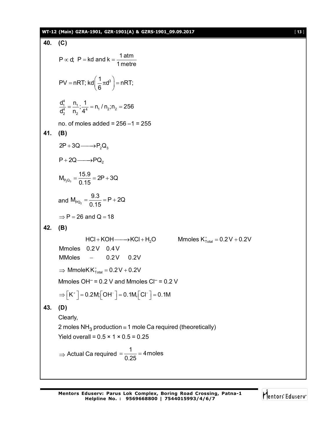## **WT-12 (Main) GZRA-1901, GZR-1901(A) & GZRS-1901\_09.09.2017** [ **13** ]

40. (C)  
\n
$$
P \propto d
$$
; P = kd and k =  $\frac{1 \text{ atm}}{1 \text{ metre}}$   
\n $PV = nRT$ ; kd  $(\frac{1}{6} \pi d^3) = nRT$ ;  
\n $\frac{d_1^4}{d_2^4} = \frac{n_1}{n_2} \cdot \frac{1}{4^4} = n_1/n_2; n_2 = 256$   
\nno. of moles added = 256 - 1 = 255  
\n41. (B)  
\n $2P + 3Q \longrightarrow PQ_2$   
\n $P + 2Q \longrightarrow PQ_2$   
\n $M_{P_2Q_3} = \frac{15.9}{0.15} = 2P + 3Q$   
\nand  $M_{PQ_2} = \frac{9.3}{0.15} = P + 2Q$   
\n $\Rightarrow P = 26$  and Q = 18  
\n42. (B)  
\n $HC1 + KOH \longrightarrow KCl + H_2O$  Mmoles K<sub>†<sub>total</sub></sub> = 0.2V + 0.2V  
\nMmoles 0.2V 0.4V  
\nMmoles 0.2V 0.4V  
\nMmoles 0.2V 0.2V  
\n $\Rightarrow Mmolek K†total = 0.2V + 0.2V$   
\n $\Rightarrow Mmolek K†total = 0.2V + 0.2V$   
\n $\Rightarrow [K^+] = 0.2M_1[OH^-] = 0.1M_1[Cl^-] = 0.1M$   
\n43. (D)  
\nClearly,  
\n2 moles NH<sub>3</sub> production ≡ 1 mole C a required (theoretically)  
\nYield overall = 0.5 × 1 × 0.5 = 0.25  
\n⇒ Actual Ca required =  $\frac{1}{0.25}$  = 4 moles

Mentors<sup>e</sup> Eduserv<sup>-</sup>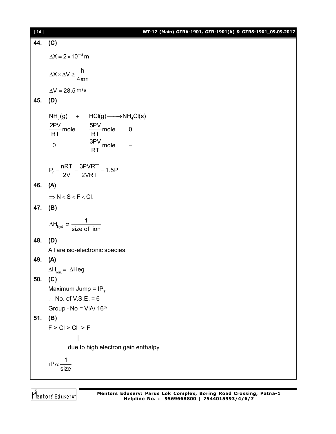| $[14]$ | WT-12 (Main) GZRA-1901, GZR-1901(A) & GZRS-1901_09.09.2017   |
|--------|--------------------------------------------------------------|
|        | 44. (C)                                                      |
|        | $\Delta X = 2 \times 10^{-6}$ m                              |
|        | $\Delta X \times \Delta V \ge \frac{h}{4\pi m}$              |
|        | $\Delta V = 28.5 \,\mathrm{m/s}$                             |
| 45.    | (D)                                                          |
|        | $NH3(g)$ + HCl(g) $\longrightarrow NH4Cl(s)$                 |
|        | $\frac{2PV}{RT}$ mole $\frac{5PV}{RT}$ mole 0                |
|        |                                                              |
|        | $\frac{\rm 3PV}{\rm RT}$ mole<br>$\pmb{0}$                   |
|        |                                                              |
|        | $P_f = \frac{nRT}{2V} = \frac{3PVRT}{2VRT} = 1.5P$           |
|        | 46. (A)                                                      |
|        | $\Rightarrow N < S < F < Cl$ .                               |
| 47.    | (B)                                                          |
|        | $\Delta H_{\text{hyd}} \propto \frac{1}{\text{size of ion}}$ |
| 48.    | (D)                                                          |
|        | All are iso-electronic species.                              |
| 49.    | (A)                                                          |
|        | $\Delta H_{\text{ion}} = -\Delta H$ eg                       |
| 50.    | (C)                                                          |
|        | Maximum Jump = $IP_7$                                        |
|        | $\therefore$ No. of V.S.E. = 6                               |
|        | Group - No = $ViA/ 16th$                                     |
| 51.    | (B)                                                          |
|        | $F > Cl > Cl^- > F^-$                                        |
|        |                                                              |
|        | due to high electron gain enthalpy                           |
|        |                                                              |
|        | $iP \alpha \frac{1}{size}$                                   |
|        |                                                              |

Mentors<sup>®</sup> Eduserv<sup>®</sup>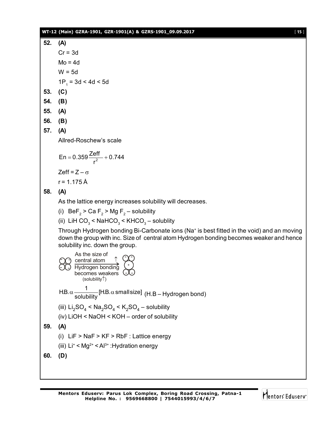**52. (A)**  $Cr = 3d$  $Mo = 4d$  $W = 5d$  $1P_1 = 3d < 4d < 5d$ 

- **53. (C)**
- **54. (B)**
- **55. (A)**
- **56. (B)**
- **57. (A)**

Allred-Roschew's scale

$$
En = 0.359 \frac{Zeff}{r^2} + 0.744
$$

Zeff =  $Z - \sigma$ 

 $r = 1.175 \text{ Å}$ 

# **58. (A)**

As the lattice energy increases solubility will decreases.

(i)  $\text{BeF}_2$  > Ca F<sub>2</sub> > Mg F<sub>2</sub> – solubility

(ii) LiH CO $_3$  < NaHCO $_3$  < KHCO $_3$  – solublity

Through Hydrogen bonding Bi-Carbonate ions (Na<sup>+</sup> is best fitted in the void) and an moving down the group with inc. Size of central atom Hydrogen bonding becomes weaker and hence solubility inc. down the group.

As the size of  
\n
$$
\bigodot \text{Central atom} \quad \uparrow
$$
\n
$$
\bigodot \text{central atom} \quad \uparrow
$$
\n
$$
\text{Hydrogen bonding} \quad (+)
$$
\n
$$
\text{becomes weakest} \quad (-)
$$
\n
$$
\text{(solubility}^{\uparrow})
$$
\n
$$
\text{H.B. } \alpha \frac{1}{\text{solubility}} [\text{H.B. } \alpha \text{ small size}] \quad (\text{H.B.} - \text{Hydrogen bond})
$$
\n
$$
\text{(iii) } \text{Li}_2\text{SO}_4 < \text{Na}_2\text{SO}_4 < \text{K}_2\text{SO}_4 - \text{solubility}
$$
\n
$$
\text{(iv) LiOH} < \text{NaOH} < \text{KOH} - \text{order of solubility}
$$
\n
$$
\text{59. (A)}
$$
\n
$$
\text{(i) } \text{LiF} > \text{NaF} > \text{KF} > \text{Rbf} \text{ : Lattice energy}
$$
\n
$$
\text{(iii) Li'} < \text{Mg}^{2+} < \text{Al}^{3+} : \text{Hydration energy}
$$
\n
$$
\text{60. (D)}
$$

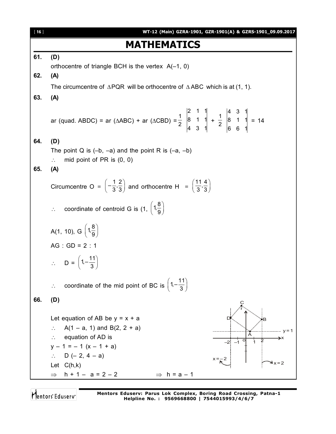

Mentors Eduserv

**Mentors Eduserv: Parus Lok Complex, Boring Road Crossing, Patna-1 Helpline No. : 9569668800 | 7544015993/4/6/7**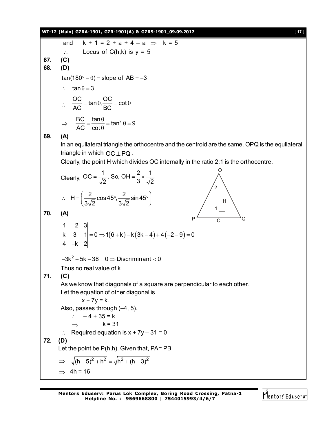|     | WT-12 (Main) GZRA-1901, GZR-1901(A) & GZRS-1901_09.09.2017<br>$[17]$                                                 |
|-----|----------------------------------------------------------------------------------------------------------------------|
|     | $k + 1 = 2 + a + 4 - a \Rightarrow k = 5$<br>and                                                                     |
|     | Locus of $C(h,k)$ is $y = 5$<br>$\therefore$                                                                         |
| 67. | (C)                                                                                                                  |
| 68. | (D)                                                                                                                  |
|     | $tan(180^\circ - \theta) = slope of AB = -3$                                                                         |
|     | $\tan \theta = 3$                                                                                                    |
|     | $\therefore \quad \frac{OC}{AC} = \tan \theta, \frac{OC}{BC} = \cot \theta$                                          |
|     |                                                                                                                      |
|     | $\Rightarrow \frac{BC}{AC} = \frac{\tan \theta}{\cot \theta} = \tan^2 \theta = 9$                                    |
| 69. | (A)                                                                                                                  |
|     | In an equilateral triangle the orthocentre and the centroid are the same. OPQ is the equilateral                     |
|     | triangle in which $OC \perp PQ$ .                                                                                    |
|     | Clearly, the point H which divides OC internally in the ratio 2:1 is the orthocentre.                                |
|     | Clearly, OC = $\frac{1}{\sqrt{2}}$ . So, OH = $\frac{2}{3} \times \frac{1}{\sqrt{2}}$                                |
|     | $\therefore H = \left(\frac{2}{3\sqrt{2}}\cos 45^\circ, \frac{2}{3\sqrt{2}}\sin 45^\circ\right)$<br>Ή                |
| 70. | (A)                                                                                                                  |
|     | P<br>Q                                                                                                               |
|     | $\begin{vmatrix} 1 & -2 & 3 \\ k & 3 & 1 \\ 4 & -k & 2 \end{vmatrix} = 0 \Rightarrow 1(6+k) - k(3k-4) + 4(-2-9) = 0$ |
|     |                                                                                                                      |
|     |                                                                                                                      |
|     | $-3k^2 + 5k - 38 = 0 \Rightarrow$ Discriminant < 0                                                                   |
|     | Thus no real value of k                                                                                              |
| 71. | (C)                                                                                                                  |
|     | As we know that diagonals of a square are perpendicular to each other.<br>Let the equation of other diagonal is      |
|     | $x + 7y = k$ .                                                                                                       |
|     | Also, passes through $(-4, 5)$ .                                                                                     |
|     | $-4 + 35 = k$<br>$\mathcal{L}$                                                                                       |
|     | $k = 31$<br>$\Rightarrow$<br>Required equation is $x + 7y - 31 = 0$                                                  |
| 72. | $\ddot{\cdot}$<br>(D)                                                                                                |
|     | Let the point be $P(h,h)$ . Given that, $PA = PB$                                                                    |
|     | $\Rightarrow \sqrt{(h-5)^2 + h^2} = \sqrt{h^2 + (h-3)^2}$                                                            |
|     | $\Rightarrow$ 4h = 16                                                                                                |
|     |                                                                                                                      |

**Mentors Eduserv: Parus Lok Complex, Boring Road Crossing, Patna-1 Helpline No. : 9569668800 | 7544015993/4/6/7**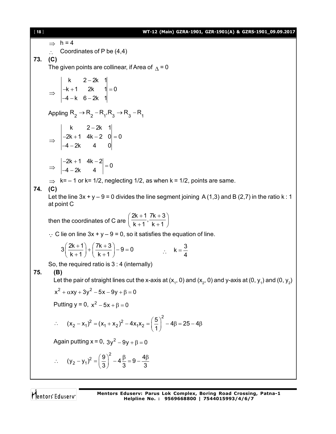[ **18** ] **WT-12 (Main) GZRA-1901, GZR-1901(A) & GZRS-1901\_09.09.2017**  $\Rightarrow$  h = 4 Coordinates of P be (4,4) **73. (C)** The given points are collinear, if Area of  $\Lambda = 0$  $\Rightarrow$ k  $2 - 2k$  1  $k + 1$  2k 1 = 0 4 - k 6 - 2k 1  $\overline{\phantom{0}}$  $-k + 1$  2k 1 = 0  $-4 - k$  6-2 Appling  $R_2 \rightarrow R_2 - R_1, R_3 \rightarrow R_3 - R_1$  $\Rightarrow$ k  $2 - 2k$  1  $2k + 1$  4k  $-2$  0  $= 0$ 4 - 2k 4 0 - $-2k+1$  4k  $-2$  0 = 0  $-4 - 2$  $\Rightarrow$  $2k + 1$  4k  $-2$  = 0  $4 - 2k$  4  $\begin{vmatrix} -2k+1 & 4k-2 \\ 4k-2 & 4k-2 \end{vmatrix} =$  $-4 - 2$  $\Rightarrow$  k= - 1 or k= 1/2, neglecting 1/2, as when k = 1/2, points are same. **74. (C)** Let the line  $3x + y - 9 = 0$  divides the line segment joining A(1,3) and B(2,7) in the ratio k: 1 at point C then the coordinates of C are  $\frac{2k+1}{1}$ ,  $\frac{7k+3}{1}$  $\left(\frac{2k+1}{k+1}, \frac{7k+3}{k+1}\right)$  $\therefore$  C lie on line 3x + y – 9 = 0, so it satisfies the equation of line.  $3\left(\frac{2k+1}{1}\right) + \left(\frac{7k+3}{1}\right) - 9 = 0$ k + 1  $\left(\begin{array}{c} k + 1 \end{array}\right)$  $\left(\frac{2k+1}{k+1}\right) + \left(\frac{7k+3}{k+1}\right) - 9 = 0$  :  $k = \frac{3}{4}$ 4  $=$ So, the required ratio is 3 : 4 (internally) **75. (B)** Let the pair of straight lines cut the x-axis at (x<sub>1</sub>, 0) and (x<sub>2</sub>, 0) and y-axis at (0, y<sub>1</sub>) and (0, y<sub>2</sub>)  $x^{2} + \alpha xy + 3y^{2} - 5x - 9y + \beta = 0$ Putting  $y = 0$ ,  $x^2 - 5x + \beta = 0$  $\mathcal{L}_{\bullet}$ 2  $(x_1 + x_2)^2 - 4x_1x_2$  $(x_2 - x_1)^2 = (x_1 + x_2)^2 - 4x_1x_2 = \left(\frac{5}{2}\right)^2 - 4\beta = 25 - 4\beta$  $(-x_1)^2 = (x_1 + x_2)^2 - 4x_1x_2 = \left(\frac{5}{1}\right)^2 - 4\beta = 25 - 4\beta$ Again putting  $x = 0$ ,  $3y^2 - 9y + \beta = 0$  $\mathcal{L}_{\bullet}$ 2  $(y_2 - y_1)^2 = \left(\frac{9}{2}\right)^2 - 4\frac{\beta}{2} = 9 - \frac{4\beta}{3}$ 3 3 3  $(-y_1)^2 = \left(\frac{9}{3}\right)^2 - 4\frac{\beta}{3} = 9 - \frac{4\beta}{3}$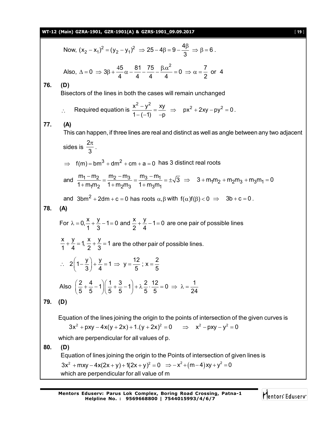| Now, $(x_2 - x_1)^2 = (y_2 - y_1)^2 \Rightarrow 25 - 4\beta = 9 - \frac{4\beta}{2} \Rightarrow \beta = 6$ .<br>Also, $\Delta = 0$ $\Rightarrow$ $3\beta + \frac{45}{4}\alpha - \frac{81}{4} - \frac{75}{4} - \frac{\beta \alpha^2}{4} = 0$ $\Rightarrow \alpha = \frac{7}{2}$ or 4<br>76.<br>(D)<br>Bisectors of the lines in both the cases will remain unchanged<br>Required equation is $\frac{x^2 - y^2}{1 - (-1)} = \frac{xy}{-p} \Rightarrow px^2 + 2xy - py^2 = 0$ .<br>$\mathcal{L}$<br>77.<br>(A)<br>This can happen, if three lines are real and distinct as well as angle between any two adjacent<br>sides is $\frac{2\pi}{3}$ .<br>$\Rightarrow$ f(m) = bm <sup>3</sup> + dm <sup>2</sup> + cm + a = 0 has 3 distinct real roots<br>and $\frac{m_1 - m_2}{1 + m_1 m_2} = \frac{m_2 - m_3}{1 + m_2 m_3} = \frac{m_3 - m_1}{1 + m_3 m_1} = \pm \sqrt{3} \implies 3 + m_1 m_2 + m_2 m_3 + m_3 m_1 = 0$<br>and $3bm^2 + 2dm + c = 0$ has roots $\alpha, \beta$ with $f(\alpha)f(\beta) < 0 \Rightarrow 3b + c = 0$ .<br>78.<br>(A)<br>For $\lambda = 0, \frac{x}{1} + \frac{y}{2} - 1 = 0$ and $\frac{x}{2} + \frac{y}{4} - 1 = 0$ are one pair of possible lines<br>$\frac{x}{1} + \frac{y}{4} = 1$ , $\frac{x}{2} + \frac{y}{3} = 1$ are the other pair of possible lines.<br>$\therefore$ 2 $\left(1-\frac{y}{3}\right)+\frac{y}{4}=1 \Rightarrow y=\frac{12}{5}$ ; x = $\frac{2}{5}$<br>Also $\left(\frac{2}{5} + \frac{4}{5} - 1\right)\left(\frac{1}{5} + \frac{3}{5} - 1\right) + \lambda \frac{2}{5} \cdot \frac{12}{5} = 0 \implies \lambda = \frac{1}{24}$<br>79.<br>(D)<br>Equation of the lines joining the origin to the points of intersection of the given curves is | WT-12 (Main) GZRA-1901, GZR-1901(A) & GZRS-1901_09.09.2017<br>[19]               |
|----------------------------------------------------------------------------------------------------------------------------------------------------------------------------------------------------------------------------------------------------------------------------------------------------------------------------------------------------------------------------------------------------------------------------------------------------------------------------------------------------------------------------------------------------------------------------------------------------------------------------------------------------------------------------------------------------------------------------------------------------------------------------------------------------------------------------------------------------------------------------------------------------------------------------------------------------------------------------------------------------------------------------------------------------------------------------------------------------------------------------------------------------------------------------------------------------------------------------------------------------------------------------------------------------------------------------------------------------------------------------------------------------------------------------------------------------------------------------------------------------------------------------------------------------------------------------------------------------------------------------------------------------------------------------------------------|----------------------------------------------------------------------------------|
|                                                                                                                                                                                                                                                                                                                                                                                                                                                                                                                                                                                                                                                                                                                                                                                                                                                                                                                                                                                                                                                                                                                                                                                                                                                                                                                                                                                                                                                                                                                                                                                                                                                                                              |                                                                                  |
|                                                                                                                                                                                                                                                                                                                                                                                                                                                                                                                                                                                                                                                                                                                                                                                                                                                                                                                                                                                                                                                                                                                                                                                                                                                                                                                                                                                                                                                                                                                                                                                                                                                                                              |                                                                                  |
|                                                                                                                                                                                                                                                                                                                                                                                                                                                                                                                                                                                                                                                                                                                                                                                                                                                                                                                                                                                                                                                                                                                                                                                                                                                                                                                                                                                                                                                                                                                                                                                                                                                                                              |                                                                                  |
|                                                                                                                                                                                                                                                                                                                                                                                                                                                                                                                                                                                                                                                                                                                                                                                                                                                                                                                                                                                                                                                                                                                                                                                                                                                                                                                                                                                                                                                                                                                                                                                                                                                                                              |                                                                                  |
|                                                                                                                                                                                                                                                                                                                                                                                                                                                                                                                                                                                                                                                                                                                                                                                                                                                                                                                                                                                                                                                                                                                                                                                                                                                                                                                                                                                                                                                                                                                                                                                                                                                                                              |                                                                                  |
|                                                                                                                                                                                                                                                                                                                                                                                                                                                                                                                                                                                                                                                                                                                                                                                                                                                                                                                                                                                                                                                                                                                                                                                                                                                                                                                                                                                                                                                                                                                                                                                                                                                                                              |                                                                                  |
|                                                                                                                                                                                                                                                                                                                                                                                                                                                                                                                                                                                                                                                                                                                                                                                                                                                                                                                                                                                                                                                                                                                                                                                                                                                                                                                                                                                                                                                                                                                                                                                                                                                                                              |                                                                                  |
|                                                                                                                                                                                                                                                                                                                                                                                                                                                                                                                                                                                                                                                                                                                                                                                                                                                                                                                                                                                                                                                                                                                                                                                                                                                                                                                                                                                                                                                                                                                                                                                                                                                                                              |                                                                                  |
|                                                                                                                                                                                                                                                                                                                                                                                                                                                                                                                                                                                                                                                                                                                                                                                                                                                                                                                                                                                                                                                                                                                                                                                                                                                                                                                                                                                                                                                                                                                                                                                                                                                                                              |                                                                                  |
|                                                                                                                                                                                                                                                                                                                                                                                                                                                                                                                                                                                                                                                                                                                                                                                                                                                                                                                                                                                                                                                                                                                                                                                                                                                                                                                                                                                                                                                                                                                                                                                                                                                                                              |                                                                                  |
|                                                                                                                                                                                                                                                                                                                                                                                                                                                                                                                                                                                                                                                                                                                                                                                                                                                                                                                                                                                                                                                                                                                                                                                                                                                                                                                                                                                                                                                                                                                                                                                                                                                                                              |                                                                                  |
|                                                                                                                                                                                                                                                                                                                                                                                                                                                                                                                                                                                                                                                                                                                                                                                                                                                                                                                                                                                                                                                                                                                                                                                                                                                                                                                                                                                                                                                                                                                                                                                                                                                                                              |                                                                                  |
|                                                                                                                                                                                                                                                                                                                                                                                                                                                                                                                                                                                                                                                                                                                                                                                                                                                                                                                                                                                                                                                                                                                                                                                                                                                                                                                                                                                                                                                                                                                                                                                                                                                                                              |                                                                                  |
|                                                                                                                                                                                                                                                                                                                                                                                                                                                                                                                                                                                                                                                                                                                                                                                                                                                                                                                                                                                                                                                                                                                                                                                                                                                                                                                                                                                                                                                                                                                                                                                                                                                                                              |                                                                                  |
|                                                                                                                                                                                                                                                                                                                                                                                                                                                                                                                                                                                                                                                                                                                                                                                                                                                                                                                                                                                                                                                                                                                                                                                                                                                                                                                                                                                                                                                                                                                                                                                                                                                                                              |                                                                                  |
|                                                                                                                                                                                                                                                                                                                                                                                                                                                                                                                                                                                                                                                                                                                                                                                                                                                                                                                                                                                                                                                                                                                                                                                                                                                                                                                                                                                                                                                                                                                                                                                                                                                                                              |                                                                                  |
|                                                                                                                                                                                                                                                                                                                                                                                                                                                                                                                                                                                                                                                                                                                                                                                                                                                                                                                                                                                                                                                                                                                                                                                                                                                                                                                                                                                                                                                                                                                                                                                                                                                                                              | $3x^{2} + pxy - 4x(y + 2x) + 1(y + 2x)^{2} = 0 \implies x^{2} - pxy - y^{2} = 0$ |
| which are perpendicular for all values of p.                                                                                                                                                                                                                                                                                                                                                                                                                                                                                                                                                                                                                                                                                                                                                                                                                                                                                                                                                                                                                                                                                                                                                                                                                                                                                                                                                                                                                                                                                                                                                                                                                                                 |                                                                                  |
| 80.<br>(D)                                                                                                                                                                                                                                                                                                                                                                                                                                                                                                                                                                                                                                                                                                                                                                                                                                                                                                                                                                                                                                                                                                                                                                                                                                                                                                                                                                                                                                                                                                                                                                                                                                                                                   |                                                                                  |
| Equation of lines joining the origin to the Points of intersection of given lines is                                                                                                                                                                                                                                                                                                                                                                                                                                                                                                                                                                                                                                                                                                                                                                                                                                                                                                                                                                                                                                                                                                                                                                                                                                                                                                                                                                                                                                                                                                                                                                                                         |                                                                                  |
| $3x^{2}$ + mxy – 4x(2x + y) + 1(2x + y) <sup>2</sup> = 0 $\Rightarrow$ - x <sup>2</sup> + (m – 4)xy + y <sup>2</sup> = 0<br>which are perpendicular for all value of m                                                                                                                                                                                                                                                                                                                                                                                                                                                                                                                                                                                                                                                                                                                                                                                                                                                                                                                                                                                                                                                                                                                                                                                                                                                                                                                                                                                                                                                                                                                       |                                                                                  |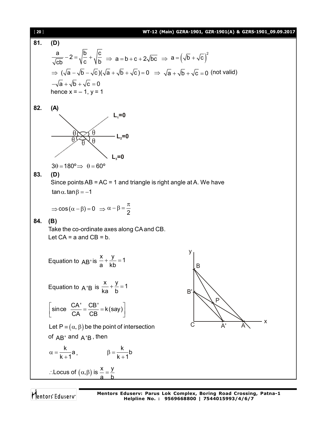| $[20]$ | WT-12 (Main) GZRA-1901, GZR-1901(A) & GZRS-1901_09.09.2017                                                                                    |
|--------|-----------------------------------------------------------------------------------------------------------------------------------------------|
| 81.    | (D)                                                                                                                                           |
|        | $\frac{a}{\sqrt{cb}}-2=\sqrt{\frac{b}{c}}+\sqrt{\frac{c}{b}} \Rightarrow a=b+c+2\sqrt{bc} \Rightarrow a=\left(\sqrt{b}+\sqrt{c}\right)^2$     |
|        |                                                                                                                                               |
|        | $\Rightarrow (\sqrt{a} - \sqrt{b} - \sqrt{c})(\sqrt{a} + \sqrt{b} + \sqrt{c}) = 0 \Rightarrow \sqrt{a} + \sqrt{b} + \sqrt{c} = 0$ (not valid) |
|        | $-\sqrt{a} + \sqrt{b} + \sqrt{c} = 0$                                                                                                         |
|        | hence $x = -1$ , $y = 1$                                                                                                                      |
| 82.    | (A)                                                                                                                                           |
|        | $L_1=0$                                                                                                                                       |
|        |                                                                                                                                               |
|        | $\cdot$ L <sub>2</sub> =0                                                                                                                     |
|        | $L_{3}=0$                                                                                                                                     |
|        | $3\theta = 180^{\circ} \Rightarrow \theta = 60^{\circ}$                                                                                       |
| 83.    | (D)                                                                                                                                           |
|        | Since points $AB = AC = 1$ and triangle is right angle at A. We have                                                                          |
|        | $\tan \alpha$ . $\tan \beta = -1$                                                                                                             |
|        | $\Rightarrow$ cos $(\alpha - \beta) = 0 \Rightarrow \alpha - \beta = \frac{\pi}{2}$                                                           |
| 84.    | (B)                                                                                                                                           |
|        | Take the co-ordinate axes along CA and CB.<br>Let $CA = a$ and $CB = b$ .                                                                     |
|        |                                                                                                                                               |
|        |                                                                                                                                               |
|        | Equation to $AB'$ is $\frac{x}{a} + \frac{y}{kh} = 1$<br>B                                                                                    |
|        |                                                                                                                                               |
|        | Equation to A'B is $\frac{x}{ka} + \frac{y}{b} = 1$<br>B'                                                                                     |
|        | P                                                                                                                                             |
|        | $\begin{bmatrix} \text{since} & \frac{\text{CA}'}{\text{CA}} = \frac{\text{CB}'}{\text{CB}} = \text{k}(\text{say}) \end{bmatrix}$             |
|        | $\boldsymbol{\mathsf{x}}$<br>С<br>Let $P = (\alpha, \beta)$ be the point of intersection                                                      |
|        | of AB' and A'B, then                                                                                                                          |
|        |                                                                                                                                               |
|        | $\alpha = \frac{k}{k+1}a,$ $\beta = \frac{k}{k+1}b$                                                                                           |
|        | : Locus of $(\alpha, \beta)$ is $\frac{x}{a} = \frac{y}{b}$                                                                                   |
|        |                                                                                                                                               |

Mentors<sup>®</sup> Eduserv<sup>®</sup>